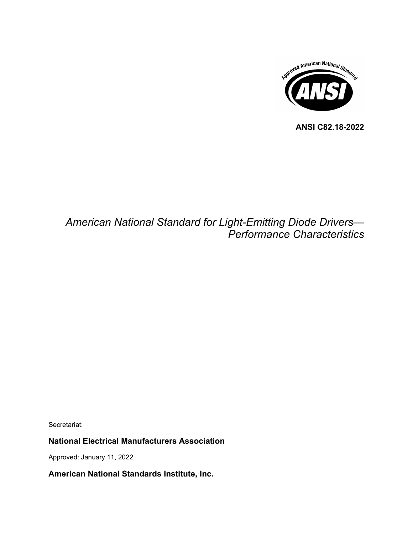

**ANSI C82.18-2022**

# *American National Standard for Light-Emitting Diode Drivers— Performance Characteristics*

Secretariat:

# **National Electrical Manufacturers Association**

Approved: January 11, 2022

**American National Standards Institute, Inc.**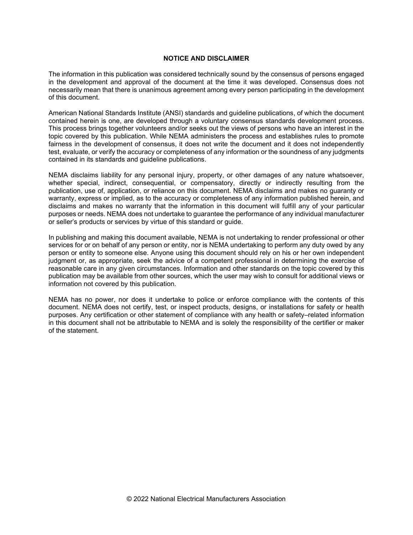#### **NOTICE AND DISCLAIMER**

The information in this publication was considered technically sound by the consensus of persons engaged in the development and approval of the document at the time it was developed. Consensus does not necessarily mean that there is unanimous agreement among every person participating in the development of this document.

American National Standards Institute (ANSI) standards and guideline publications, of which the document contained herein is one, are developed through a voluntary consensus standards development process. This process brings together volunteers and/or seeks out the views of persons who have an interest in the topic covered by this publication. While NEMA administers the process and establishes rules to promote fairness in the development of consensus, it does not write the document and it does not independently test, evaluate, or verify the accuracy or completeness of any information or the soundness of any judgments contained in its standards and guideline publications.

NEMA disclaims liability for any personal injury, property, or other damages of any nature whatsoever, whether special, indirect, consequential, or compensatory, directly or indirectly resulting from the publication, use of, application, or reliance on this document. NEMA disclaims and makes no guaranty or warranty, express or implied, as to the accuracy or completeness of any information published herein, and disclaims and makes no warranty that the information in this document will fulfill any of your particular purposes or needs. NEMA does not undertake to guarantee the performance of any individual manufacturer or seller's products or services by virtue of this standard or guide.

In publishing and making this document available, NEMA is not undertaking to render professional or other services for or on behalf of any person or entity, nor is NEMA undertaking to perform any duty owed by any person or entity to someone else. Anyone using this document should rely on his or her own independent judgment or, as appropriate, seek the advice of a competent professional in determining the exercise of reasonable care in any given circumstances. Information and other standards on the topic covered by this publication may be available from other sources, which the user may wish to consult for additional views or information not covered by this publication.

NEMA has no power, nor does it undertake to police or enforce compliance with the contents of this document. NEMA does not certify, test, or inspect products, designs, or installations for safety or health purposes. Any certification or other statement of compliance with any health or safety–related information in this document shall not be attributable to NEMA and is solely the responsibility of the certifier or maker of the statement.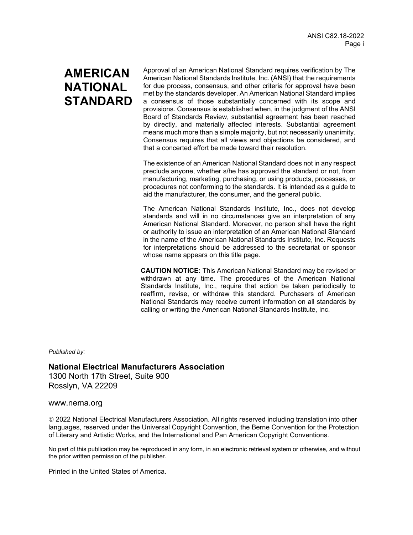# **AMERICAN NATIONAL STANDARD**

Approval of an American National Standard requires verification by The American National Standards Institute, Inc. (ANSI) that the requirements for due process, consensus, and other criteria for approval have been met by the standards developer. An American National Standard implies a consensus of those substantially concerned with its scope and provisions. Consensus is established when, in the judgment of the ANSI Board of Standards Review, substantial agreement has been reached by directly, and materially affected interests. Substantial agreement means much more than a simple majority, but not necessarily unanimity. Consensus requires that all views and objections be considered, and that a concerted effort be made toward their resolution.

The existence of an American National Standard does not in any respect preclude anyone, whether s/he has approved the standard or not, from manufacturing, marketing, purchasing, or using products, processes, or procedures not conforming to the standards. It is intended as a guide to aid the manufacturer, the consumer, and the general public.

The American National Standards Institute, Inc., does not develop standards and will in no circumstances give an interpretation of any American National Standard. Moreover, no person shall have the right or authority to issue an interpretation of an American National Standard in the name of the American National Standards Institute, Inc. Requests for interpretations should be addressed to the secretariat or sponsor whose name appears on this title page.

**CAUTION NOTICE:** This American National Standard may be revised or withdrawn at any time. The procedures of the American National Standards Institute, Inc., require that action be taken periodically to reaffirm, revise, or withdraw this standard. Purchasers of American National Standards may receive current information on all standards by calling or writing the American National Standards Institute, Inc.

*Published by:*

**National Electrical Manufacturers Association** 1300 North 17th Street, Suite 900 Rosslyn, VA 22209

www.nema.org

 2022 National Electrical Manufacturers Association. All rights reserved including translation into other languages, reserved under the Universal Copyright Convention, the Berne Convention for the Protection of Literary and Artistic Works, and the International and Pan American Copyright Conventions.

No part of this publication may be reproduced in any form, in an electronic retrieval system or otherwise, and without the prior written permission of the publisher.

Printed in the United States of America.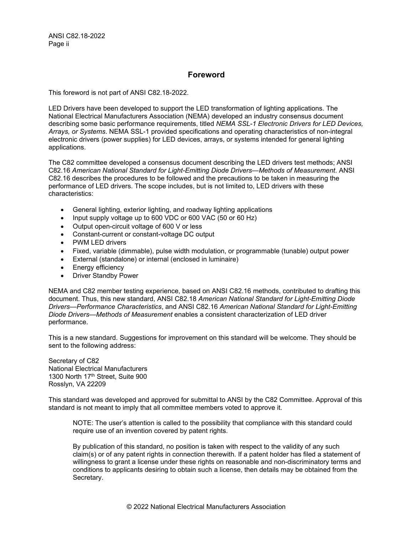ANSI C82.18-2022 Page ii

## **Foreword**

This foreword is not part of ANSI C82.18-2022.

LED Drivers have been developed to support the LED transformation of lighting applications. The National Electrical Manufacturers Association (NEMA) developed an industry consensus document describing some basic performance requirements, titled *NEMA SSL-1 Electronic Drivers for LED Devices, Arrays, or Systems*. NEMA SSL-1 provided specifications and operating characteristics of non-integral electronic drivers (power supplies) for LED devices, arrays, or systems intended for general lighting applications.

The C82 committee developed a consensus document describing the LED drivers test methods; ANSI C82.16 *American National Standard for Light-Emitting Diode Drivers—Methods of Measurement*. ANSI C82.16 describes the procedures to be followed and the precautions to be taken in measuring the performance of LED drivers. The scope includes, but is not limited to, LED drivers with these characteristics:

- General lighting, exterior lighting, and roadway lighting applications
- Input supply voltage up to 600 VDC or 600 VAC (50 or 60 Hz)
- Output open-circuit voltage of 600 V or less
- Constant-current or constant-voltage DC output
- PWM LED drivers
- Fixed, variable (dimmable), pulse width modulation, or programmable (tunable) output power
- External (standalone) or internal (enclosed in luminaire)
- Energy efficiency
- Driver Standby Power

NEMA and C82 member testing experience, based on ANSI C82.16 methods, contributed to drafting this document. Thus, this new standard, ANSI C82.18 *American National Standard for Light-Emitting Diode Drivers—Performance Characteristics*, and ANSI C82.16 *American National Standard for Light-Emitting Diode Drivers—Methods of Measurement* enables a consistent characterization of LED driver performance.

This is a new standard. Suggestions for improvement on this standard will be welcome. They should be sent to the following address:

Secretary of C82 National Electrical Manufacturers 1300 North 17<sup>th</sup> Street, Suite 900 Rosslyn, VA 22209

This standard was developed and approved for submittal to ANSI by the C82 Committee. Approval of this standard is not meant to imply that all committee members voted to approve it.

NOTE: The user's attention is called to the possibility that compliance with this standard could require use of an invention covered by patent rights.

By publication of this standard, no position is taken with respect to the validity of any such claim(s) or of any patent rights in connection therewith. If a patent holder has filed a statement of willingness to grant a license under these rights on reasonable and non-discriminatory terms and conditions to applicants desiring to obtain such a license, then details may be obtained from the Secretary.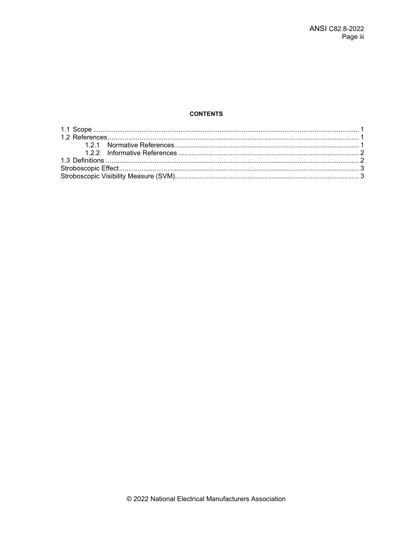### **CONTENTS**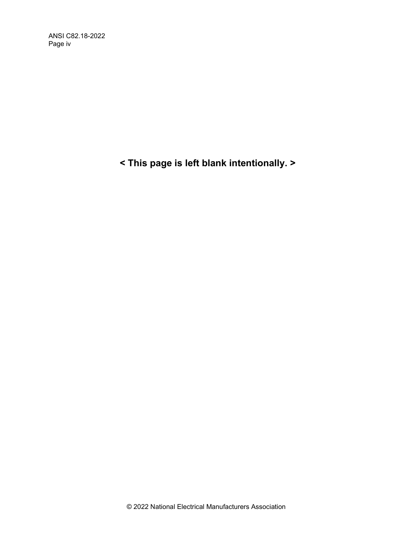ANSI C82.18-2022 Page iv

**< This page is left blank intentionally. >**